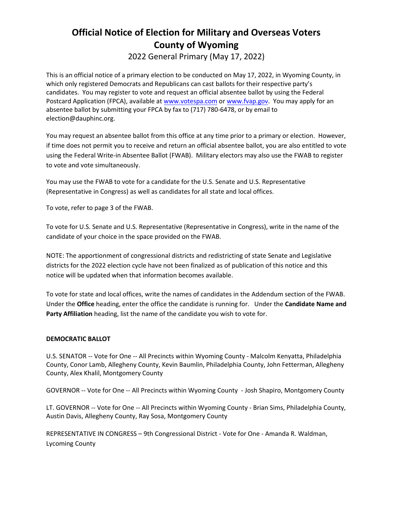## **Official Notice of Election for Military and Overseas Voters County of Wyoming**

2022 General Primary (May 17, 2022)

This is an official notice of a primary election to be conducted on May 17, 2022, in Wyoming County, in which only registered Democrats and Republicans can cast ballots for their respective party's candidates. You may register to vote and request an official absentee ballot by using the Federal Postcard Application (FPCA), available at [www.votespa.com](http://www.votespa.com/) or [www.fvap.gov.](http://www.fvap.gov/) You may apply for an absentee ballot by submitting your FPCA by fax to (717) 780-6478, or by email to election@dauphinc.org.

You may request an absentee ballot from this office at any time prior to a primary or election. However, if time does not permit you to receive and return an official absentee ballot, you are also entitled to vote using the Federal Write-in Absentee Ballot (FWAB). Military electors may also use the FWAB to register to vote and vote simultaneously.

You may use the FWAB to vote for a candidate for the U.S. Senate and U.S. Representative (Representative in Congress) as well as candidates for all state and local offices.

To vote, refer to page 3 of the FWAB.

To vote for U.S. Senate and U.S. Representative (Representative in Congress), write in the name of the candidate of your choice in the space provided on the FWAB.

NOTE: The apportionment of congressional districts and redistricting of state Senate and Legislative districts for the 2022 election cycle have not been finalized as of publication of this notice and this notice will be updated when that information becomes available.

To vote for state and local offices, write the names of candidates in the Addendum section of the FWAB. Under the **Office** heading, enter the office the candidate is running for. Under the **Candidate Name and Party Affiliation** heading, list the name of the candidate you wish to vote for.

### **DEMOCRATIC BALLOT**

U.S. SENATOR -- Vote for One -- All Precincts within Wyoming County - Malcolm Kenyatta, Philadelphia County, Conor Lamb, Allegheny County, Kevin Baumlin, Philadelphia County, John Fetterman, Allegheny County, Alex Khalil, Montgomery County

GOVERNOR -- Vote for One -- All Precincts within Wyoming County - Josh Shapiro, Montgomery County

LT. GOVERNOR -- Vote for One -- All Precincts within Wyoming County - Brian Sims, Philadelphia County, Austin Davis, Allegheny County, Ray Sosa, Montgomery County

REPRESENTATIVE IN CONGRESS – 9th Congressional District - Vote for One - Amanda R. Waldman, Lycoming County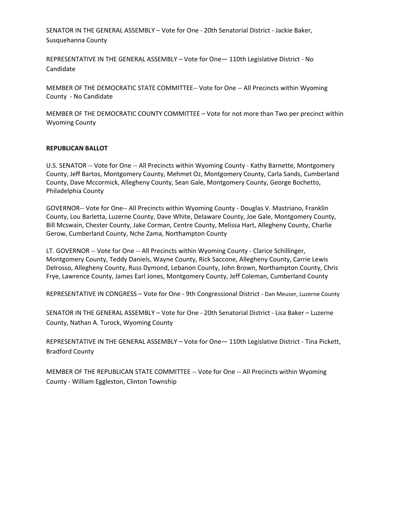SENATOR IN THE GENERAL ASSEMBLY – Vote for One - 20th Senatorial District - Jackie Baker, Susquehanna County

REPRESENTATIVE IN THE GENERAL ASSEMBLY – Vote for One— 110th Legislative District - No Candidate

MEMBER OF THE DEMOCRATIC STATE COMMITTEE-- Vote for One -- All Precincts within Wyoming County - No Candidate

MEMBER OF THE DEMOCRATIC COUNTY COMMITTEE – Vote for not more than Two per precinct within Wyoming County

#### **REPUBLICAN BALLOT**

U.S. SENATOR -- Vote for One -- All Precincts within Wyoming County - Kathy Barnette, Montgomery County, Jeff Bartos, Montgomery County, Mehmet Oz, Montgomery County, Carla Sands, Cumberland County, Dave Mccormick, Allegheny County, Sean Gale, Montgomery County, George Bochetto, Philadelphia County

GOVERNOR-- Vote for One-- All Precincts within Wyoming County - Douglas V. Mastriano, Franklin County, Lou Barletta, Luzerne County, Dave White, Delaware County, Joe Gale, Montgomery County, Bill Mcswain, Chester County, Jake Corman, Centre County, Melissa Hart, Allegheny County, Charlie Gerow, Cumberland County, Nche Zama, Northampton County

LT. GOVERNOR -- Vote for One -- All Precincts within Wyoming County - Clarice Schillinger, Montgomery County, Teddy Daniels, Wayne County, Rick Saccone, Allegheny County, Carrie Lewis Delrosso, Allegheny County, Russ Dymond, Lebanon County, John Brown, Northampton County, Chris Frye, Lawrence County, James Earl Jones, Montgomery County, Jeff Coleman, Cumberland County

REPRESENTATIVE IN CONGRESS – Vote for One - 9th Congressional District - Dan Meuser, Luzerne County

SENATOR IN THE GENERAL ASSEMBLY – Vote for One - 20th Senatorial District - Lisa Baker – Luzerne County, Nathan A. Turock, Wyoming County

REPRESENTATIVE IN THE GENERAL ASSEMBLY – Vote for One— 110th Legislative District - Tina Pickett, Bradford County

MEMBER OF THE REPUBLICAN STATE COMMITTEE -- Vote for One -- All Precincts within Wyoming County - William Eggleston, Clinton Township